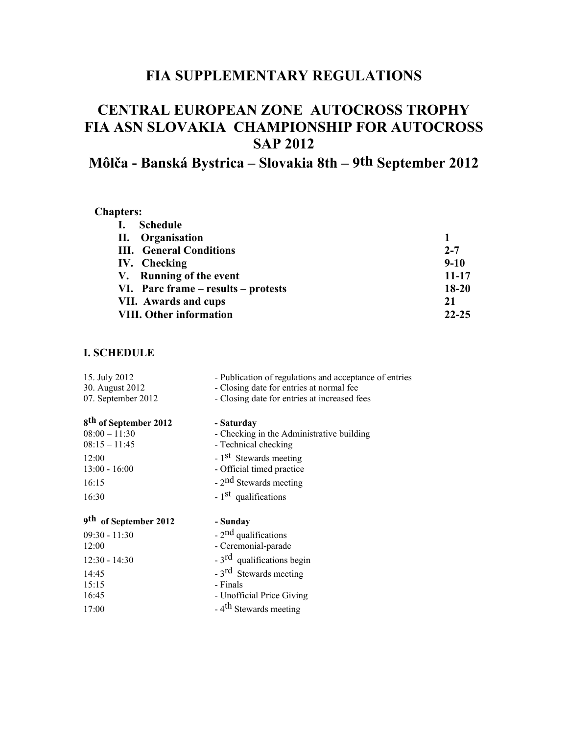## **FIA SUPPLEMENTARY REGULATIONS**

# **CENTRAL EUROPEAN ZONE AUTOCROSS TROPHY FIA ASN SLOVAKIA CHAMPIONSHIP FOR AUTOCROSS SAP 2012**

# **Môlča - Banská Bystrica – Slovakia 8th – 9th September 2012**

#### **Chapters:**

| I. Schedule                         |           |
|-------------------------------------|-----------|
| II. Organisation                    |           |
| <b>III.</b> General Conditions      | $2 - 7$   |
| IV. Checking                        | $9 - 10$  |
| V. Running of the event             | $11 - 17$ |
| VI. Parc frame – results – protests | $18 - 20$ |
| VII. Awards and cups                | 21        |
| <b>VIII. Other information</b>      | $22 - 25$ |

## **I. SCHEDULE**

| 15. July 2012                         | - Publication of regulations and acceptance of entries                                   |
|---------------------------------------|------------------------------------------------------------------------------------------|
| 30. August 2012<br>07. September 2012 | - Closing date for entries at normal fee<br>- Closing date for entries at increased fees |
|                                       |                                                                                          |
| 8 <sup>th</sup> of September 2012     | - Saturday                                                                               |
| $08:00 - 11:30$                       | - Checking in the Administrative building                                                |
| $08:15 - 11:45$                       | - Technical checking                                                                     |
| 12:00                                 | $-1st$ Stewards meeting                                                                  |
| $13:00 - 16:00$                       | - Official timed practice                                                                |
| 16:15                                 | $-2nd$ Stewards meeting                                                                  |
|                                       |                                                                                          |
| 16:30                                 | - 1 <sup>st</sup> qualifications                                                         |
|                                       |                                                                                          |
| 9 <sup>th</sup> of September 2012     | - Sunday                                                                                 |
| $09:30 - 11:30$<br>12:00              | - 2 <sup>nd</sup> qualifications<br>- Ceremonial-parade                                  |
| $12:30 - 14:30$                       | - 3 <sup>rd</sup> qualifications begin                                                   |
| 14:45                                 |                                                                                          |
| 15:15                                 | - 3 <sup>rd</sup> Stewards meeting<br>- Finals                                           |
| 16:45                                 | - Unofficial Price Giving                                                                |
| 17:00                                 | - 4 <sup>th</sup> Stewards meeting                                                       |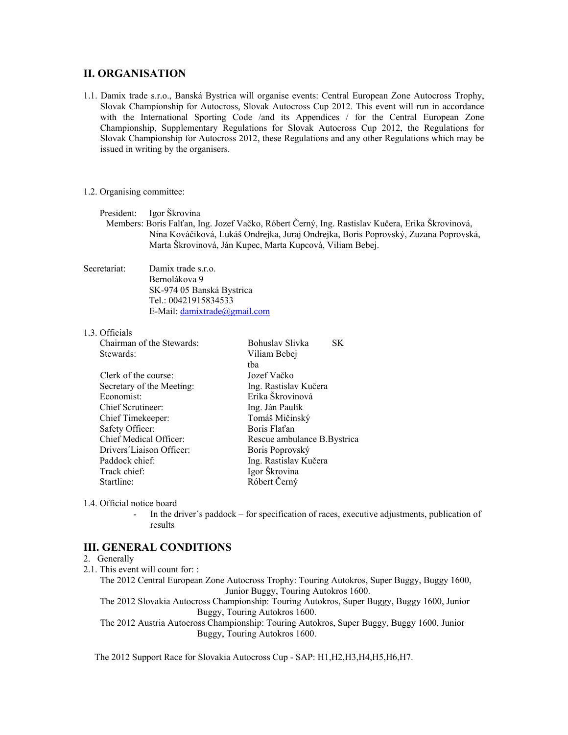#### **II. ORGANISATION**

1.1. Damix trade s.r.o., Banská Bystrica will organise events: Central European Zone Autocross Trophy, Slovak Championship for Autocross, Slovak Autocross Cup 2012. This event will run in accordance with the International Sporting Code /and its Appendices / for the Central European Zone Championship, Supplementary Regulations for Slovak Autocross Cup 2012, the Regulations for Slovak Championship for Autocross 2012, these Regulations and any other Regulations which may be issued in writing by the organisers.

1.2. Organising committee:

President: Igor Škrovina

 Members: Boris Falťan, Ing. Jozef Vačko, Róbert Černý, Ing. Rastislav Kučera, Erika Škrovinová, Nina Kováčiková, Lukáš Ondrejka, Juraj Ondrejka, Boris Poprovský, Zuzana Poprovská, Marta Škrovinová, Ján Kupec, Marta Kupcová, Viliam Bebej.

Secretariat: Damix trade s.r.o. Bernolákova 9 SK-974 05 Banská Bystrica Tel.: 00421915834533 E-Mail: [damixtrade@gmail.com](mailto:damixtrade@gmail.com)

#### 1.3. Officials

| Chairman of the Stewards: | Bohuslav Slivka<br>SK        |  |
|---------------------------|------------------------------|--|
| Stewards:                 | Viliam Bebei                 |  |
|                           | tha                          |  |
| Clerk of the course:      | Jozef Vačko                  |  |
| Secretary of the Meeting: | Ing. Rastislav Kučera        |  |
| Economist:                | Erika Škrovinová             |  |
| Chief Scrutineer:         | Ing. Ján Paulík              |  |
| Chief Timekeeper:         | Tomáš Mičinský               |  |
| Safety Officer:           | Boris Flat'an                |  |
| Chief Medical Officer:    | Rescue ambulance B. Bystrica |  |
| Drivers Liaison Officer:  | Boris Poprovský              |  |
| Paddock chief:            | Ing. Rastislav Kučera        |  |
| Track chief:              | Igor Škrovina                |  |
| Startline:                | Róbert Černý                 |  |

1.4. Official notice board

In the driver's paddock – for specification of races, executive adjustments, publication of results

#### **III. GENERAL CONDITIONS**

#### 2. Generally

- 2.1. This event will count for: :
	- The 2012 Central European Zone Autocross Trophy: Touring Autokros, Super Buggy, Buggy 1600, Junior Buggy, Touring Autokros 1600.

The 2012 Slovakia Autocross Championship: Touring Autokros, Super Buggy, Buggy 1600, Junior Buggy, Touring Autokros 1600.

The 2012 Austria Autocross Championship: Touring Autokros, Super Buggy, Buggy 1600, Junior Buggy, Touring Autokros 1600.

The 2012 Support Race for Slovakia Autocross Cup - SAP: H1,H2,H3,H4,H5,H6,H7.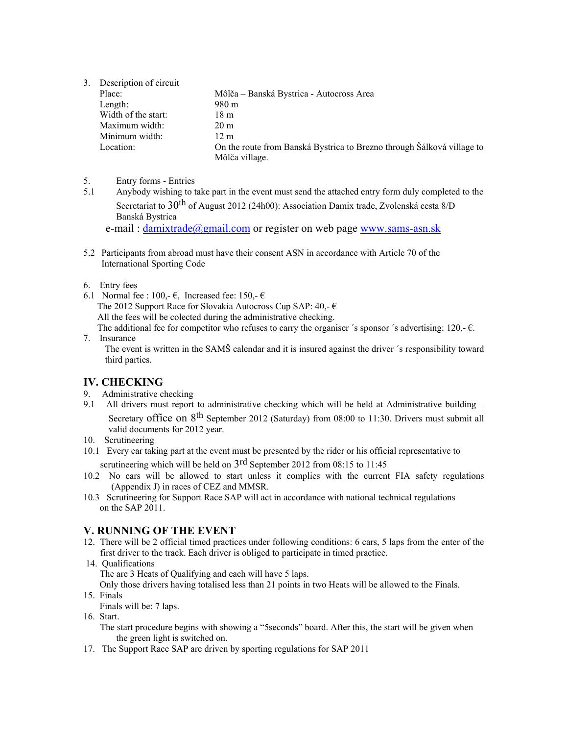3. Description of circuit

| Place:              | Môlča – Banská Bystrica - Autocross Area                               |
|---------------------|------------------------------------------------------------------------|
| Length:             | 980 m                                                                  |
| Width of the start: | 18 m                                                                   |
| Maximum width:      | 20 m                                                                   |
| Minimum width:      | 12 m                                                                   |
| Location:           | On the route from Banská Bystrica to Brezno through Šálková village to |
|                     | Môlča village.                                                         |

- 5. Entry forms Entries
- 5.1 Anybody wishing to take part in the event must send the attached entry form duly completed to the Secretariat to 30<sup>th</sup> of August 2012 (24h00): Association Damix trade, Zvolenská cesta 8/D Banská Bystrica

e-mail: [damixtrade@gmail.com](mailto:damixtrade@gmail.com) or register on web page [www.sams-asn.sk](http://www.sams-asn.sk/)

- 5.2 Participants from abroad must have their consent ASN in accordance with Article 70 of the International Sporting Code
- 6. Entry fees
- 6.1 Normal fee : 100,-  $\epsilon$ , Increased fee: 150,-  $\epsilon$ The 2012 Support Race for Slovakia Autocross Cup SAP:  $40, -\epsilon$  All the fees will be colected during the administrative checking. The additional fee for competitor who refuses to carry the organiser 's sponsor 's advertising: 120,- $\epsilon$ .
- 7. Insurance The event is written in the SAMŠ calendar and it is insured against the driver ´s responsibility toward third parties.

#### **IV. CHECKING**

- 9. Administrative checking
- 9.1 All drivers must report to administrative checking which will be held at Administrative building Secretary office on 8<sup>th</sup> September 2012 (Saturday) from 08:00 to 11:30. Drivers must submit all valid documents for 2012 year.
- 10. Scrutineering
- 10.1 Every car taking part at the event must be presented by the rider or his official representative to scrutineering which will be held on  $3<sup>rd</sup>$  September 2012 from 08:15 to 11:45
- 10.2 No cars will be allowed to start unless it complies with the current FIA safety regulations (Appendix J) in races of CEZ and MMSR.
- 10.3 Scrutineering for Support Race SAP will act in accordance with national technical regulations on the SAP 2011.

## **V. RUNNING OF THE EVENT**

- 12. There will be 2 official timed practices under following conditions: 6 cars, 5 laps from the enter of the first driver to the track. Each driver is obliged to participate in timed practice.
- 14. Qualifications The are 3 Heats of Qualifying and each will have 5 laps.

Only those drivers having totalised less than 21 points in two Heats will be allowed to the Finals.

- 15. Finals
	- Finals will be: 7 laps.
- 16. Start.
	- The start procedure begins with showing a "5seconds" board. After this, the start will be given when the green light is switched on.
- 17. The Support Race SAP are driven by sporting regulations for SAP 2011